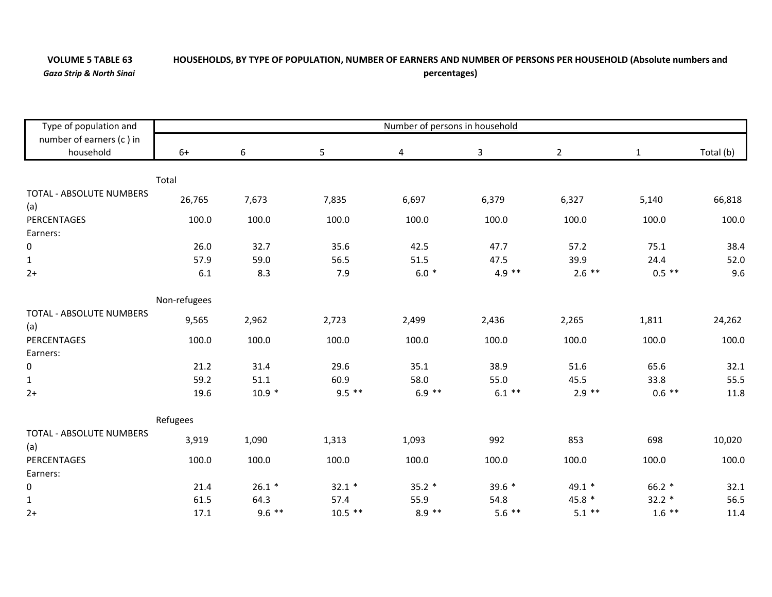## **VOLUME 5**

## HOUSEHOLDS, BY TYPE OF POPULATION, NUMBER OF EARNERS AND NUMBER OF PERSONS PER HOUSEHOLD (Absolute numbers and *Gaza Strip & North Sinai* **percentages)**

Type of population an dnumber of earners (c ) in household Number of persons in household 6+ 6 5 4 3 2 1Total (b) TotalTOTAL ‐ ABSOLUTE NUMBERS(a) 26,765 7,673 7,835 6,697 6,379 6,327 5,140 66,818 PERCENTAGES 100.0 100.0 100.0 100.0 100.0 100.0 100.0 100.0 Earners:0 26.0 32.7 35.6 42.5 47.7 57.2 75.1 38.4 1 57.9 59.0 56.5 51.5 47.5 39.9 24.4 52.0 2+ $+$  6.1  $\begin{array}{ccccccc} 1 & 8.3 & 7.9 & 6.0 & * & 4.9 & ** & 2.6 & ** & 0.5 & * & * & * & * \ \end{array}$ Non‐refugees TOTAL ‐ ABSOLUTE NUMBERS $(a)$ 9,565 2,962 2,723 2,499 2,436 2,265 1,811 24,262 PERCENTAGES 100.0 100.0 100.0 100.0 100.0 100.0 100.0 100.0 Earners: $\Omega$  21.2 31.4 29.6 35.1 38.9 51.6 65.6 32.1 1 59.2 51.1 60.9 58.0 55.0 45.5 33.8 55.5 2+ 19.6 $\rm 6 \qquad \qquad 10.9 \qquad \qquad 9.5 \qquad \qquad 6.9 \qquad \qquad 6.9 \qquad \qquad 6.1 \qquad \qquad 2.9 \qquad \qquad 2.9 \qquad \qquad 0.6 \qquad \qquad 11.8$ Refugees TOTAL ‐ ABSOLUTE NUMBERS(a) 3,919 1,090 1,313 1,093 992 853 698 10,020 **PERCENTAGES**  100.0 100.0 100.0 100.0 100.0 100.0 100.0 100.0 Earners: $\Omega$  $21.4$   $26.1$   $32.1$   $33.1$   $35.2$   $39.6$   $49.1$   $49.1$   $66.2$   $32.1$ 1 $\,1\,$  57.5  $\,$  61.5  $\,$  64.3  $\,$  57.4  $\,$  55.9  $\,$  54.8  $\,$  45.8  $\,$   $\,$  32.2  $\,$   $\,$  56.5  $\,$ 2+ 17.1 $\begin{array}{ccccccc} 1 & 9.6 & * & * & 10.5 & * & * & * & * & * & * & * & * & * & * \ 1.4 & 9.6 & * & * & * & * & * & * & * & * & * \ \end{array}$